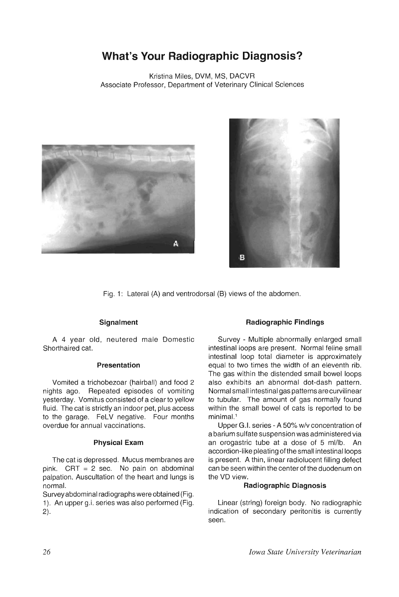# **What's Your Radiographic Diagnosis?**

Kristina Miles, DVM, MS, DACVR Associate Professor, Department of Veterinary Clinical Sciences





Fig. 1: Lateral (A) and ventrodorsal (B) views of the abdomen.

## **Signalment**

A 4 year old, neutered male Domestic Shorthaired cat.

### **Presentation**

Vomited a trichobezoar (hairball) and food 2 nights ago. Repeated episodes of vomiting yesterday. Vomitus consisted of a clear to yellow fluid. The cat is strictly an indoor pet, plus access to the garage. FeLV negative. Four months overdue for annual vaccinations.

#### **Physical Exam**

The cat is depressed. Mucus membranes are pink. CRT = 2 sec. No pain on abdominal palpation. Auscultation of the heart and lungs is normal.

Survey abdominal radiographs were obtained (Fig. 1). An upper g.i. series was also performed (Fig. 2).

## **Radiographic Findings**

Survey - Multiple abnormally enlarged small intestinal loops are present. Normal feline small intestinal loop total diameter is approximately equal to two times the width of an eleventh rib. The gas within the distended small bowel loops also exhibits an abnormal dot-dash pattern. Normal small intestinal gas patterns are curvilinear to tubular. The amount of gas normally found within the small bowel of cats is reported to be minimal.<sup>1</sup>

Upper G.!. series - A 50% w/v concentration of a barium sulfate suspension was administered via an orogastric tube at a dose of 5 ml/lb. An accordion-like pleating ofthe small intestinal loops is present. A thin, linear radiolucent filling defect can be seen within the center of the duodenum on the VD view.

## **Radiographic Diagnosis**

Linear (string) foreign body. No radiographic indication of secondary peritonitis is currently seen.